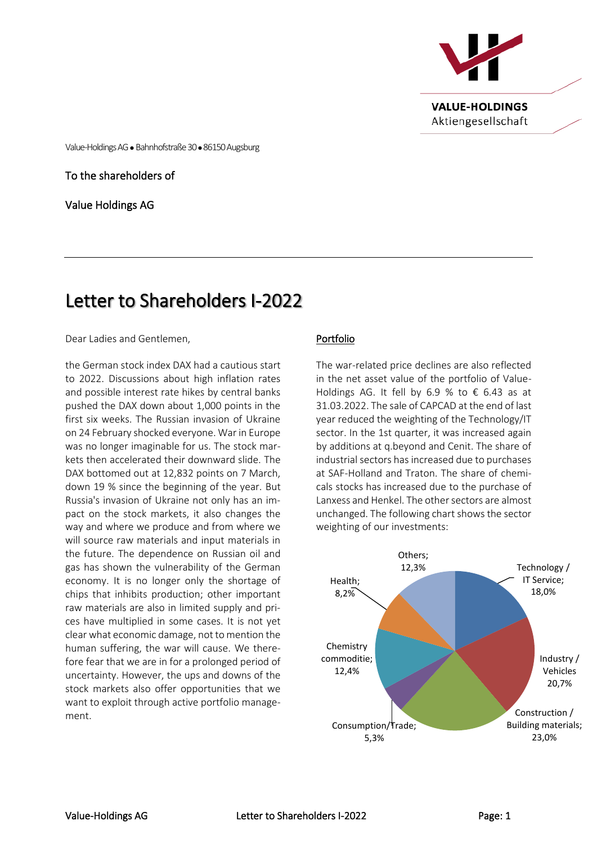

Value-Holdings AG ⚫ Bahnhofstraße 30⚫ 86150 Augsburg

To the shareholders of

Value Holdings AG

# Letter to Shareholders I-2022

Dear Ladies and Gentlemen,

the German stock index DAX had a cautious start to 2022. Discussions about high inflation rates and possible interest rate hikes by central banks pushed the DAX down about 1,000 points in the first six weeks. The Russian invasion of Ukraine on 24 February shocked everyone. War in Europe was no longer imaginable for us. The stock markets then accelerated their downward slide. The DAX bottomed out at 12,832 points on 7 March, down 19 % since the beginning of the year. But Russia's invasion of Ukraine not only has an impact on the stock markets, it also changes the way and where we produce and from where we will source raw materials and input materials in the future. The dependence on Russian oil and gas has shown the vulnerability of the German economy. It is no longer only the shortage of chips that inhibits production; other important raw materials are also in limited supply and prices have multiplied in some cases. It is not yet clear what economic damage, not to mention the human suffering, the war will cause. We therefore fear that we are in for a prolonged period of uncertainty. However, the ups and downs of the stock markets also offer opportunities that we want to exploit through active portfolio management.

# Portfolio

The war-related price declines are also reflected in the net asset value of the portfolio of Value-Holdings AG. It fell by 6.9 % to  $\epsilon$  6.43 as at 31.03.2022. The sale of CAPCAD at the end of last year reduced the weighting of the Technology/IT sector. In the 1st quarter, it was increased again by additions at q.beyond and Cenit. The share of industrial sectors has increased due to purchases at SAF-Holland and Traton. The share of chemicals stocks has increased due to the purchase of Lanxess and Henkel. The other sectors are almost unchanged. The following chart shows the sector weighting of our investments: